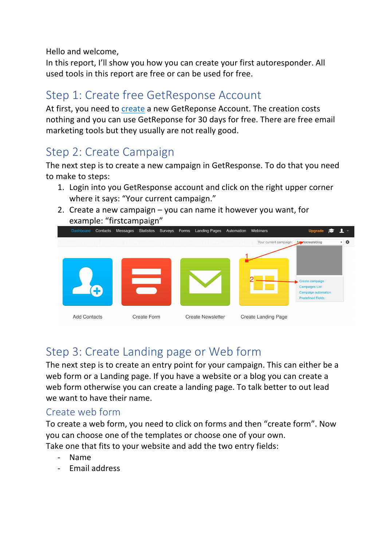Hello and welcome,

In this report, I'll show you how you can create your first autoresponder. All used tools in this report are free or can be used for free.

# Step 1: Create free GetResponse Account

At first, you need to create a new GetReponse Account. The creation costs nothing and you can use GetReponse for 30 days for free. There are free email marketing tools but they usually are not really good.

## Step 2: Create Campaign

The next step is to create a new campaign in GetResponse. To do that you need to make to steps:

- 1. Login into you GetResponse account and click on the right upper corner where it says: "Your current campaign."
- 2. Create a new campaign  $-$  you can name it however you want, for example: "firstcampaign"



# Step 3: Create Landing page or Web form

The next step is to create an entry point for your campaign. This can either be a web form or a Landing page. If you have a website or a blog you can create a web form otherwise you can create a landing page. To talk better to out lead we want to have their name.

#### Create web form

To create a web form, you need to click on forms and then "create form". Now you can choose one of the templates or choose one of your own. Take one that fits to your website and add the two entry fields:

- Name
- Email address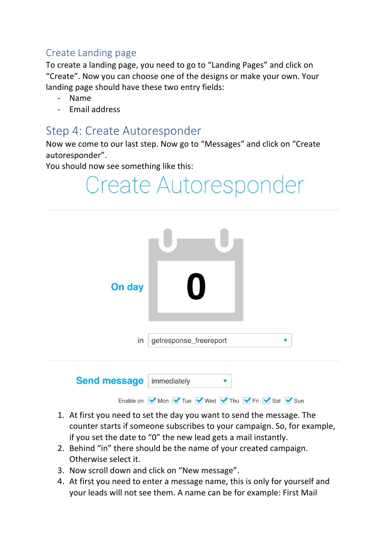### Create Landing page

To create a landing page, you need to go to "Landing Pages" and click on "Create". Now you can choose one of the designs or make your own. Your landing page should have these two entry fields:

- Name
- Email address

## Step 4: Create Autoresponder

Now we come to our last step. Now go to "Messages" and click on "Create autoresponder".

You should now see something like this:



- 1. At first you need to set the day you want to send the message. The counter starts if someone subscribes to your campaign. So, for example, if you set the date to "0" the new lead gets a mail instantly.
- 2. Behind "in" there should be the name of your created campaign. Otherwise select it.
- 3. Now scroll down and click on "New message".
- 4. At first you need to enter a message name, this is only for yourself and your leads will not see them. A name can be for example: First Mail